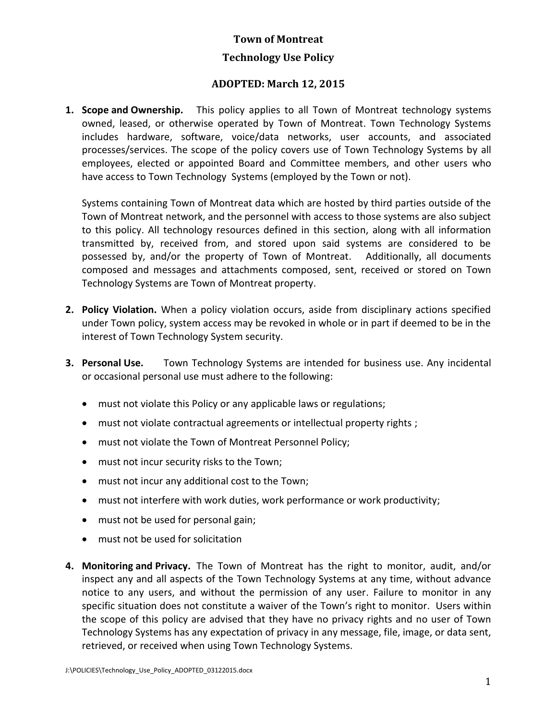## **Town of Montreat**

## **Technology Use Policy**

## **ADOPTED: March 12, 2015**

**1. Scope and Ownership.** This policy applies to all Town of Montreat technology systems owned, leased, or otherwise operated by Town of Montreat. Town Technology Systems includes hardware, software, voice/data networks, user accounts, and associated processes/services. The scope of the policy covers use of Town Technology Systems by all employees, elected or appointed Board and Committee members, and other users who have access to Town Technology Systems (employed by the Town or not).

Systems containing Town of Montreat data which are hosted by third parties outside of the Town of Montreat network, and the personnel with access to those systems are also subject to this policy. All technology resources defined in this section, along with all information transmitted by, received from, and stored upon said systems are considered to be possessed by, and/or the property of Town of Montreat. Additionally, all documents composed and messages and attachments composed, sent, received or stored on Town Technology Systems are Town of Montreat property.

- **2. Policy Violation.** When a policy violation occurs, aside from disciplinary actions specified under Town policy, system access may be revoked in whole or in part if deemed to be in the interest of Town Technology System security.
- **3. Personal Use.** Town Technology Systems are intended for business use. Any incidental or occasional personal use must adhere to the following:
	- must not violate this Policy or any applicable laws or regulations;
	- must not violate contractual agreements or intellectual property rights ;
	- must not violate the Town of Montreat Personnel Policy;
	- must not incur security risks to the Town;
	- must not incur any additional cost to the Town;
	- must not interfere with work duties, work performance or work productivity;
	- must not be used for personal gain;
	- must not be used for solicitation
- **4. Monitoring and Privacy.** The Town of Montreat has the right to monitor, audit, and/or inspect any and all aspects of the Town Technology Systems at any time, without advance notice to any users, and without the permission of any user. Failure to monitor in any specific situation does not constitute a waiver of the Town's right to monitor. Users within the scope of this policy are advised that they have no privacy rights and no user of Town Technology Systems has any expectation of privacy in any message, file, image, or data sent, retrieved, or received when using Town Technology Systems.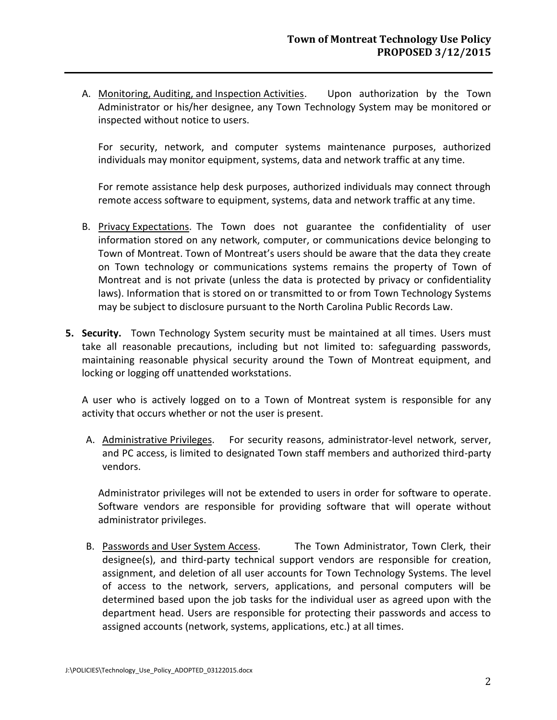A. Monitoring, Auditing, and Inspection Activities. Upon authorization by the Town Administrator or his/her designee, any Town Technology System may be monitored or inspected without notice to users.

For security, network, and computer systems maintenance purposes, authorized individuals may monitor equipment, systems, data and network traffic at any time.

For remote assistance help desk purposes, authorized individuals may connect through remote access software to equipment, systems, data and network traffic at any time.

- B. Privacy Expectations. The Town does not guarantee the confidentiality of user information stored on any network, computer, or communications device belonging to Town of Montreat. Town of Montreat's users should be aware that the data they create on Town technology or communications systems remains the property of Town of Montreat and is not private (unless the data is protected by privacy or confidentiality laws). Information that is stored on or transmitted to or from Town Technology Systems may be subject to disclosure pursuant to the North Carolina Public Records Law.
- **5. Security.** Town Technology System security must be maintained at all times. Users must take all reasonable precautions, including but not limited to: safeguarding passwords, maintaining reasonable physical security around the Town of Montreat equipment, and locking or logging off unattended workstations.

A user who is actively logged on to a Town of Montreat system is responsible for any activity that occurs whether or not the user is present.

A. Administrative Privileges. For security reasons, administrator-level network, server, and PC access, is limited to designated Town staff members and authorized third-party vendors.

Administrator privileges will not be extended to users in order for software to operate. Software vendors are responsible for providing software that will operate without administrator privileges.

B. Passwords and User System Access. The Town Administrator, Town Clerk, their designee(s), and third-party technical support vendors are responsible for creation, assignment, and deletion of all user accounts for Town Technology Systems. The level of access to the network, servers, applications, and personal computers will be determined based upon the job tasks for the individual user as agreed upon with the department head. Users are responsible for protecting their passwords and access to assigned accounts (network, systems, applications, etc.) at all times.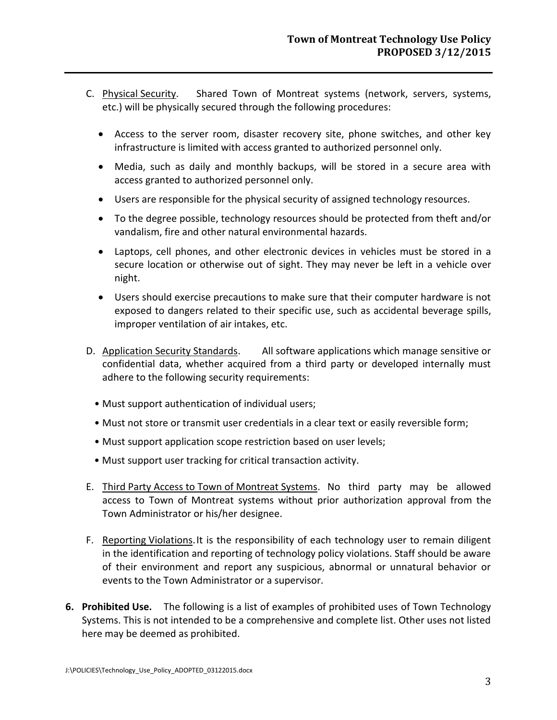- C. Physical Security. Shared Town of Montreat systems (network, servers, systems, etc.) will be physically secured through the following procedures:
	- Access to the server room, disaster recovery site, phone switches, and other key infrastructure is limited with access granted to authorized personnel only.
	- Media, such as daily and monthly backups, will be stored in a secure area with access granted to authorized personnel only.
	- Users are responsible for the physical security of assigned technology resources.
	- To the degree possible, technology resources should be protected from theft and/or vandalism, fire and other natural environmental hazards.
	- Laptops, cell phones, and other electronic devices in vehicles must be stored in a secure location or otherwise out of sight. They may never be left in a vehicle over night.
	- Users should exercise precautions to make sure that their computer hardware is not exposed to dangers related to their specific use, such as accidental beverage spills, improper ventilation of air intakes, etc.
- D. Application Security Standards. All software applications which manage sensitive or confidential data, whether acquired from a third party or developed internally must adhere to the following security requirements:
	- Must support authentication of individual users;
	- Must not store or transmit user credentials in a clear text or easily reversible form;
	- Must support application scope restriction based on user levels;
	- Must support user tracking for critical transaction activity.
- E. Third Party Access to Town of Montreat Systems. No third party may be allowed access to Town of Montreat systems without prior authorization approval from the Town Administrator or his/her designee.
- F. Reporting Violations.It is the responsibility of each technology user to remain diligent in the identification and reporting of technology policy violations. Staff should be aware of their environment and report any suspicious, abnormal or unnatural behavior or events to the Town Administrator or a supervisor.
- **6. Prohibited Use.** The following is a list of examples of prohibited uses of Town Technology Systems. This is not intended to be a comprehensive and complete list. Other uses not listed here may be deemed as prohibited.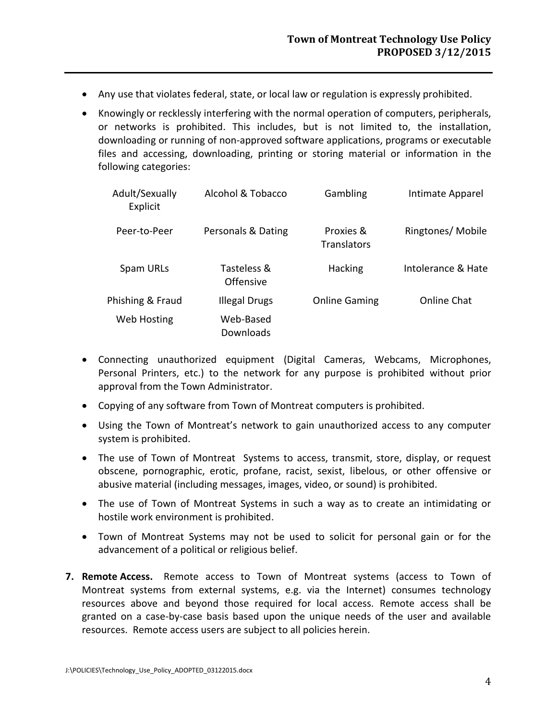- Any use that violates federal, state, or local law or regulation is expressly prohibited.
- Knowingly or recklessly interfering with the normal operation of computers, peripherals, or networks is prohibited. This includes, but is not limited to, the installation, downloading or running of non-approved software applications, programs or executable files and accessing, downloading, printing or storing material or information in the following categories:

| Adult/Sexually<br>Explicit | Alcohol & Tobacco        | Gambling                        | Intimate Apparel   |
|----------------------------|--------------------------|---------------------------------|--------------------|
| Peer-to-Peer               | Personals & Dating       | Proxies &<br><b>Translators</b> | Ringtones/ Mobile  |
| Spam URLs                  | Tasteless &<br>Offensive | Hacking                         | Intolerance & Hate |
| Phishing & Fraud           | <b>Illegal Drugs</b>     | <b>Online Gaming</b>            | Online Chat        |
| Web Hosting                | Web-Based<br>Downloads   |                                 |                    |

- Connecting unauthorized equipment (Digital Cameras, Webcams, Microphones, Personal Printers, etc.) to the network for any purpose is prohibited without prior approval from the Town Administrator.
- Copying of any software from Town of Montreat computers is prohibited.
- Using the Town of Montreat's network to gain unauthorized access to any computer system is prohibited.
- The use of Town of Montreat Systems to access, transmit, store, display, or request obscene, pornographic, erotic, profane, racist, sexist, libelous, or other offensive or abusive material (including messages, images, video, or sound) is prohibited.
- The use of Town of Montreat Systems in such a way as to create an intimidating or hostile work environment is prohibited.
- Town of Montreat Systems may not be used to solicit for personal gain or for the advancement of a political or religious belief.
- **7. Remote Access.** Remote access to Town of Montreat systems (access to Town of Montreat systems from external systems, e.g. via the Internet) consumes technology resources above and beyond those required for local access. Remote access shall be granted on a case-by-case basis based upon the unique needs of the user and available resources. Remote access users are subject to all policies herein.